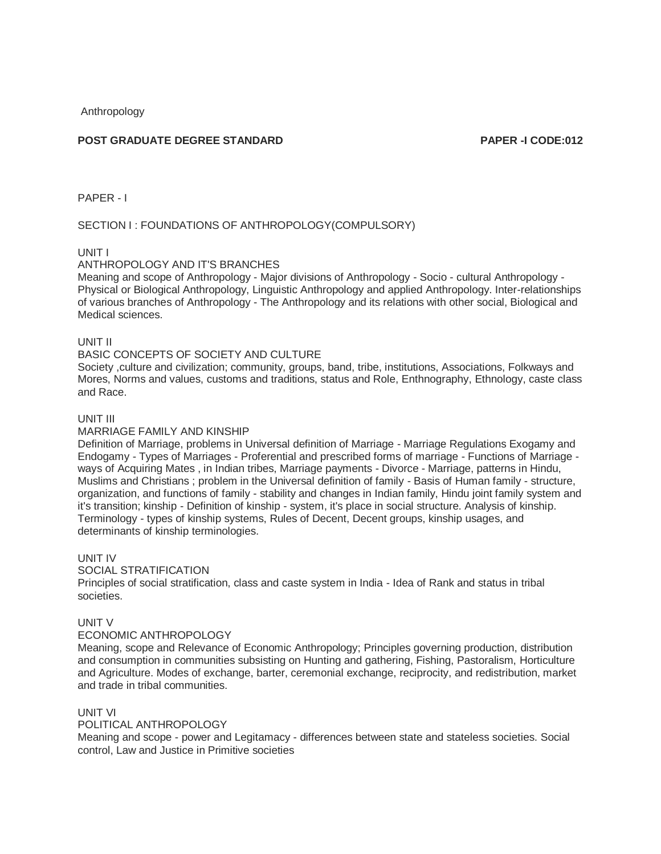Anthropology

# **POST GRADUATE DEGREE STANDARD PAPER -I CODE:012**

PAPER - I

# SECTION I : FOUNDATIONS OF ANTHROPOLOGY(COMPULSORY)

#### UNIT I

#### ANTHROPOLOGY AND IT'S BRANCHES

Meaning and scope of Anthropology - Major divisions of Anthropology - Socio - cultural Anthropology - Physical or Biological Anthropology, Linguistic Anthropology and applied Anthropology. Inter-relationships of various branches of Anthropology - The Anthropology and its relations with other social, Biological and Medical sciences.

UNIT II

#### BASIC CONCEPTS OF SOCIETY AND CULTURE

Society ,culture and civilization; community, groups, band, tribe, institutions, Associations, Folkways and Mores, Norms and values, customs and traditions, status and Role, Enthnography, Ethnology, caste class and Race.

#### UNIT III

#### MARRIAGE FAMILY AND KINSHIP

Definition of Marriage, problems in Universal definition of Marriage - Marriage Regulations Exogamy and Endogamy - Types of Marriages - Proferential and prescribed forms of marriage - Functions of Marriage ways of Acquiring Mates , in Indian tribes, Marriage payments - Divorce - Marriage, patterns in Hindu, Muslims and Christians ; problem in the Universal definition of family - Basis of Human family - structure, organization, and functions of family - stability and changes in Indian family, Hindu joint family system and it's transition; kinship - Definition of kinship - system, it's place in social structure. Analysis of kinship. Terminology - types of kinship systems, Rules of Decent, Decent groups, kinship usages, and determinants of kinship terminologies.

UNIT IV

#### SOCIAL STRATIFICATION

Principles of social stratification, class and caste system in India - Idea of Rank and status in tribal societies.

## UNIT V

#### ECONOMIC ANTHROPOLOGY

Meaning, scope and Relevance of Economic Anthropology; Principles governing production, distribution and consumption in communities subsisting on Hunting and gathering, Fishing, Pastoralism, Horticulture and Agriculture. Modes of exchange, barter, ceremonial exchange, reciprocity, and redistribution, market and trade in tribal communities.

## UNIT VI

#### POLITICAL ANTHROPOLOGY

Meaning and scope - power and Legitamacy - differences between state and stateless societies. Social control, Law and Justice in Primitive societies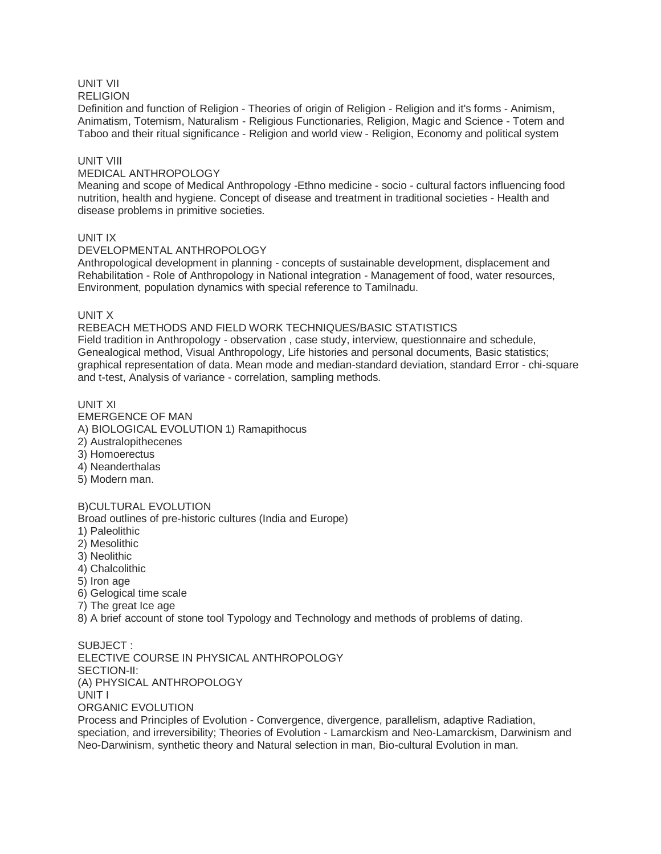# UNIT VII

#### **RELIGION**

Definition and function of Religion - Theories of origin of Religion - Religion and it's forms - Animism, Animatism, Totemism, Naturalism - Religious Functionaries, Religion, Magic and Science - Totem and Taboo and their ritual significance - Religion and world view - Religion, Economy and political system

# UNIT VIII

# MEDICAL ANTHROPOLOGY

Meaning and scope of Medical Anthropology -Ethno medicine - socio - cultural factors influencing food nutrition, health and hygiene. Concept of disease and treatment in traditional societies - Health and disease problems in primitive societies.

# UNIT IX

## DEVELOPMENTAL ANTHROPOLOGY

Anthropological development in planning - concepts of sustainable development, displacement and Rehabilitation - Role of Anthropology in National integration - Management of food, water resources, Environment, population dynamics with special reference to Tamilnadu.

## UNIT X

REBEACH METHODS AND FIELD WORK TECHNIQUES/BASIC STATISTICS Field tradition in Anthropology - observation , case study, interview, questionnaire and schedule, Genealogical method, Visual Anthropology, Life histories and personal documents, Basic statistics; graphical representation of data. Mean mode and median-standard deviation, standard Error - chi-square and t-test, Analysis of variance - correlation, sampling methods.

# UNIT XI

EMERGENCE OF MAN A) BIOLOGICAL EVOLUTION 1) Ramapithocus 2) Australopithecenes 3) Homoerectus 4) Neanderthalas 5) Modern man.

## B)CULTURAL EVOLUTION

Broad outlines of pre-historic cultures (India and Europe)

- 1) Paleolithic
- 2) Mesolithic
- 3) Neolithic
- 4) Chalcolithic
- 5) Iron age
- 6) Gelogical time scale
- 7) The great Ice age
- 8) A brief account of stone tool Typology and Technology and methods of problems of dating.

SUBJECT : ELECTIVE COURSE IN PHYSICAL ANTHROPOLOGY SECTION-II: (A) PHYSICAL ANTHROPOLOGY UNIT I ORGANIC EVOLUTION

Process and Principles of Evolution - Convergence, divergence, parallelism, adaptive Radiation, speciation, and irreversibility; Theories of Evolution - Lamarckism and Neo-Lamarckism, Darwinism and Neo-Darwinism, synthetic theory and Natural selection in man, Bio-cultural Evolution in man.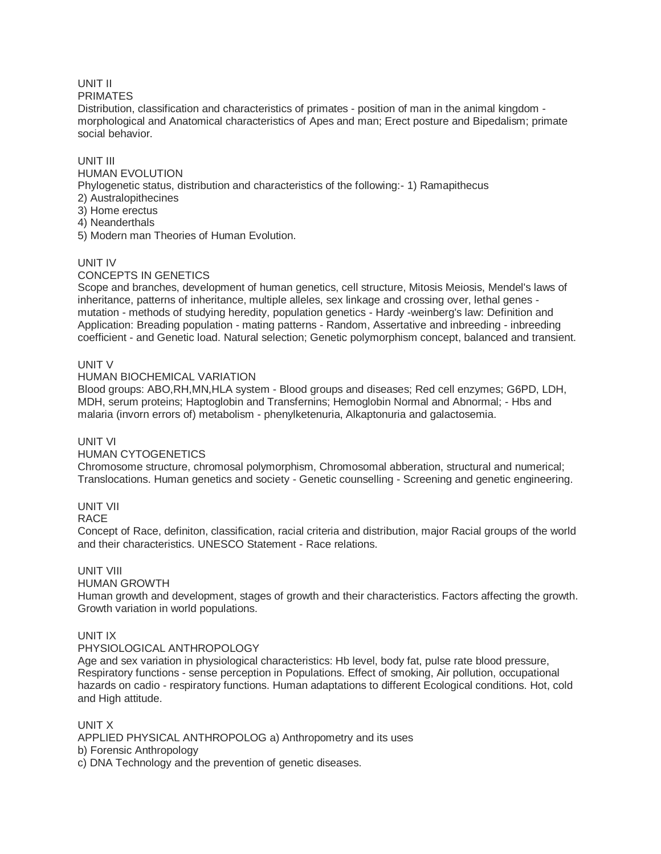# UNIT II

#### PRIMATES

Distribution, classification and characteristics of primates - position of man in the animal kingdom morphological and Anatomical characteristics of Apes and man; Erect posture and Bipedalism; primate social behavior.

# UNIT III

# HUMAN EVOLUTION

Phylogenetic status, distribution and characteristics of the following:- 1) Ramapithecus

- 2) Australopithecines
- 3) Home erectus
- 4) Neanderthals

5) Modern man Theories of Human Evolution.

# UNIT IV

# CONCEPTS IN GENETICS

Scope and branches, development of human genetics, cell structure, Mitosis Meiosis, Mendel's laws of inheritance, patterns of inheritance, multiple alleles, sex linkage and crossing over, lethal genes mutation - methods of studying heredity, population genetics - Hardy -weinberg's law: Definition and Application: Breading population - mating patterns - Random, Assertative and inbreeding - inbreeding coefficient - and Genetic load. Natural selection; Genetic polymorphism concept, balanced and transient.

# UNIT V

# HUMAN BIOCHEMICAL VARIATION

Blood groups: ABO,RH,MN,HLA system - Blood groups and diseases; Red cell enzymes; G6PD, LDH, MDH, serum proteins; Haptoglobin and Transfernins; Hemoglobin Normal and Abnormal; - Hbs and malaria (invorn errors of) metabolism - phenylketenuria, Alkaptonuria and galactosemia.

## UNIT VI

## HUMAN CYTOGENETICS

Chromosome structure, chromosal polymorphism, Chromosomal abberation, structural and numerical; Translocations. Human genetics and society - Genetic counselling - Screening and genetic engineering.

## UNIT VII

## RACE

Concept of Race, definiton, classification, racial criteria and distribution, major Racial groups of the world and their characteristics. UNESCO Statement - Race relations.

# UNIT VIII

## HUMAN GROWTH

Human growth and development, stages of growth and their characteristics. Factors affecting the growth. Growth variation in world populations.

# UNIT IX

# PHYSIOLOGICAL ANTHROPOLOGY

Age and sex variation in physiological characteristics: Hb level, body fat, pulse rate blood pressure, Respiratory functions - sense perception in Populations. Effect of smoking, Air pollution, occupational hazards on cadio - respiratory functions. Human adaptations to different Ecological conditions. Hot, cold and High attitude.

# UNIT X

APPLIED PHYSICAL ANTHROPOLOG a) Anthropometry and its uses b) Forensic Anthropology

c) DNA Technology and the prevention of genetic diseases.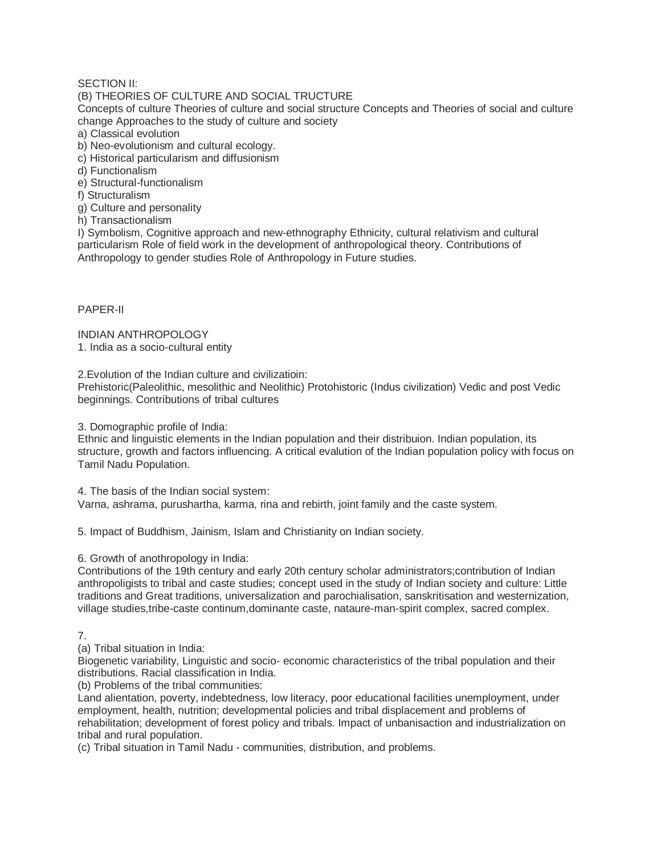# SECTION II:

## (B) THEORIES OF CULTURE AND SOCIAL TRUCTURE

Concepts of culture Theories of culture and social structure Concepts and Theories of social and culture change Approaches to the study of culture and society

a) Classical evolution

b) Neo-evolutionism and cultural ecology.

c) Historical particularism and diffusionism

d) Functionalism

e) Structural-functionalism

f) Structuralism

g) Culture and personality

h) Transactionalism

I) Symbolism, Cognitive approach and new-ethnography Ethnicity, cultural relativism and cultural particularism Role of field work in the development of anthropological theory. Contributions of Anthropology to gender studies Role of Anthropology in Future studies.

PAPER-II

INDIAN ANTHROPOLOGY 1. India as a socio-cultural entity

2.Evolution of the Indian culture and civilizatioin:

Prehistoric(Paleolithic, mesolithic and Neolithic) Protohistoric (Indus civilization) Vedic and post Vedic beginnings. Contributions of tribal cultures

3. Domographic profile of India:

Ethnic and linguistic elements in the Indian population and their distribuion. Indian population, its structure, growth and factors influencing. A critical evalution of the Indian population policy with focus on Tamil Nadu Population.

4. The basis of the Indian social system:

Varna, ashrama, purushartha, karma, rina and rebirth, joint family and the caste system.

5. Impact of Buddhism, Jainism, Islam and Christianity on Indian society.

6. Growth of anothropology in India:

Contributions of the 19th century and early 20th century scholar administrators;contribution of Indian anthropoligists to tribal and caste studies; concept used in the study of Indian society and culture: Little traditions and Great traditions, universalization and parochialisation, sanskritisation and westernization, village studies,tribe-caste continum,dominante caste, nataure-man-spirit complex, sacred complex.

7.

(a) Tribal situation in India:

Biogenetic variability, Linguistic and socio- economic characteristics of the tribal population and their distributions. Racial classification in India.

(b) Problems of the tribal communities:

Land alientation, poverty, indebtedness, low literacy, poor educational facilities unemployment, under employment, health, nutrition; developmental policies and tribal displacement and problems of rehabilitation; development of forest policy and tribals. Impact of unbanisaction and industrialization on tribal and rural population.

(c) Tribal situation in Tamil Nadu - communities, distribution, and problems.